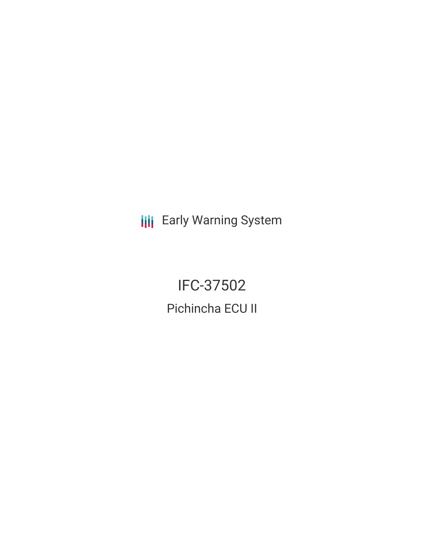**III** Early Warning System

IFC-37502 Pichincha ECU II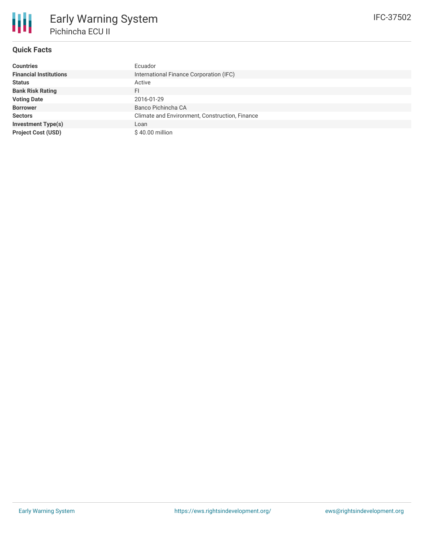# **Quick Facts**

| <b>Countries</b>              | Ecuador                                        |
|-------------------------------|------------------------------------------------|
| <b>Financial Institutions</b> | International Finance Corporation (IFC)        |
| <b>Status</b>                 | Active                                         |
| <b>Bank Risk Rating</b>       | FI                                             |
| <b>Voting Date</b>            | 2016-01-29                                     |
| <b>Borrower</b>               | Banco Pichincha CA                             |
| <b>Sectors</b>                | Climate and Environment, Construction, Finance |
| <b>Investment Type(s)</b>     | Loan                                           |
| <b>Project Cost (USD)</b>     | \$40.00 million                                |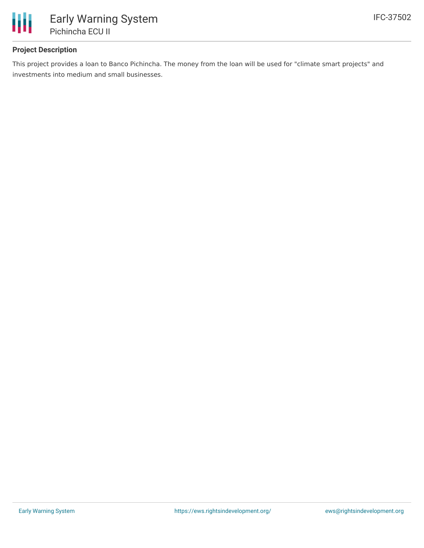

### **Project Description**

This project provides a loan to Banco Pichincha. The money from the loan will be used for "climate smart projects" and investments into medium and small businesses.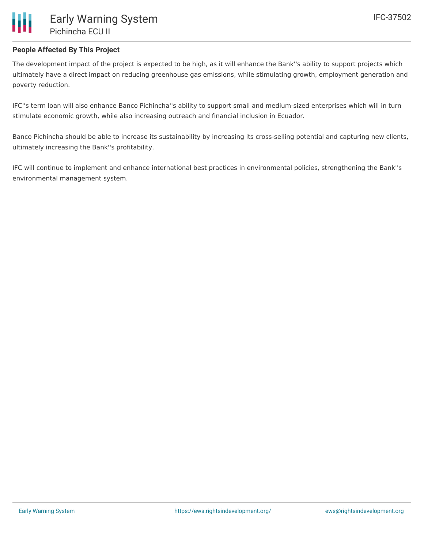

### **People Affected By This Project**

The development impact of the project is expected to be high, as it will enhance the Bank''s ability to support projects which ultimately have a direct impact on reducing greenhouse gas emissions, while stimulating growth, employment generation and poverty reduction.

IFC''s term loan will also enhance Banco Pichincha''s ability to support small and medium-sized enterprises which will in turn stimulate economic growth, while also increasing outreach and financial inclusion in Ecuador.

Banco Pichincha should be able to increase its sustainability by increasing its cross-selling potential and capturing new clients, ultimately increasing the Bank''s profitability.

IFC will continue to implement and enhance international best practices in environmental policies, strengthening the Bank''s environmental management system.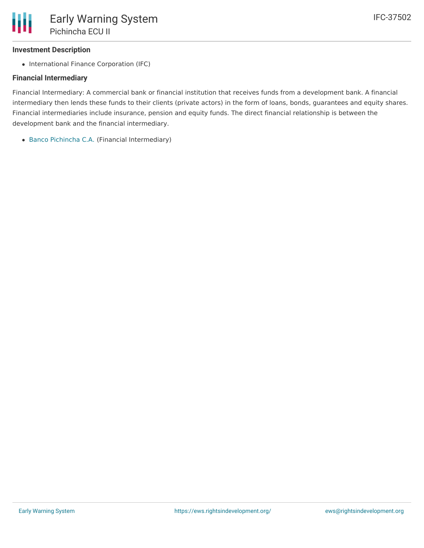### **Investment Description**

• International Finance Corporation (IFC)

## **Financial Intermediary**

Financial Intermediary: A commercial bank or financial institution that receives funds from a development bank. A financial intermediary then lends these funds to their clients (private actors) in the form of loans, bonds, guarantees and equity shares. Financial intermediaries include insurance, pension and equity funds. The direct financial relationship is between the development bank and the financial intermediary.

Banco [Pichincha](file:///actor/1021/) C.A. (Financial Intermediary)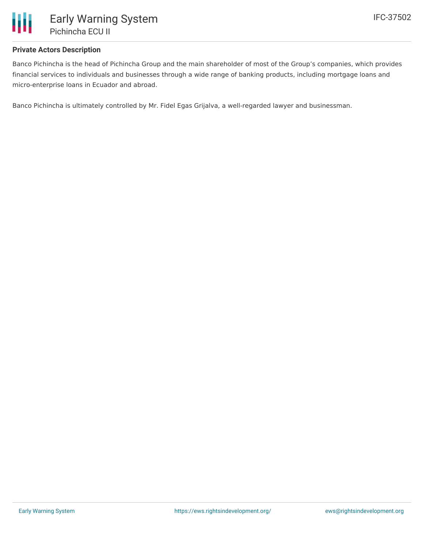

#### **Private Actors Description**

Banco Pichincha is the head of Pichincha Group and the main shareholder of most of the Group's companies, which provides financial services to individuals and businesses through a wide range of banking products, including mortgage loans and micro-enterprise loans in Ecuador and abroad.

Banco Pichincha is ultimately controlled by Mr. Fidel Egas Grijalva, a well-regarded lawyer and businessman.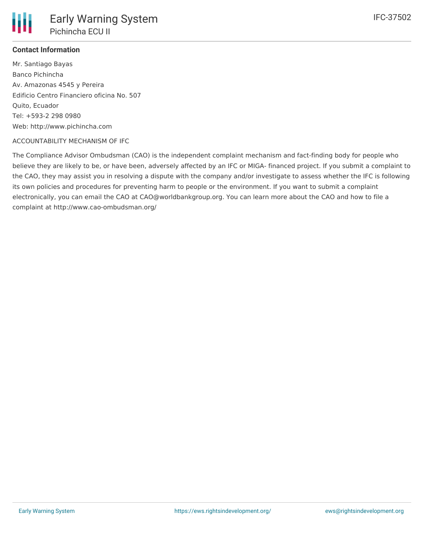

### **Contact Information**

Mr. Santiago Bayas Banco Pichincha Av. Amazonas 4545 y Pereira Edificio Centro Financiero oficina No. 507 Quito, Ecuador Tel: +593-2 298 0980 Web: http://www.pichincha.com

#### ACCOUNTABILITY MECHANISM OF IFC

The Compliance Advisor Ombudsman (CAO) is the independent complaint mechanism and fact-finding body for people who believe they are likely to be, or have been, adversely affected by an IFC or MIGA- financed project. If you submit a complaint to the CAO, they may assist you in resolving a dispute with the company and/or investigate to assess whether the IFC is following its own policies and procedures for preventing harm to people or the environment. If you want to submit a complaint electronically, you can email the CAO at CAO@worldbankgroup.org. You can learn more about the CAO and how to file a complaint at http://www.cao-ombudsman.org/